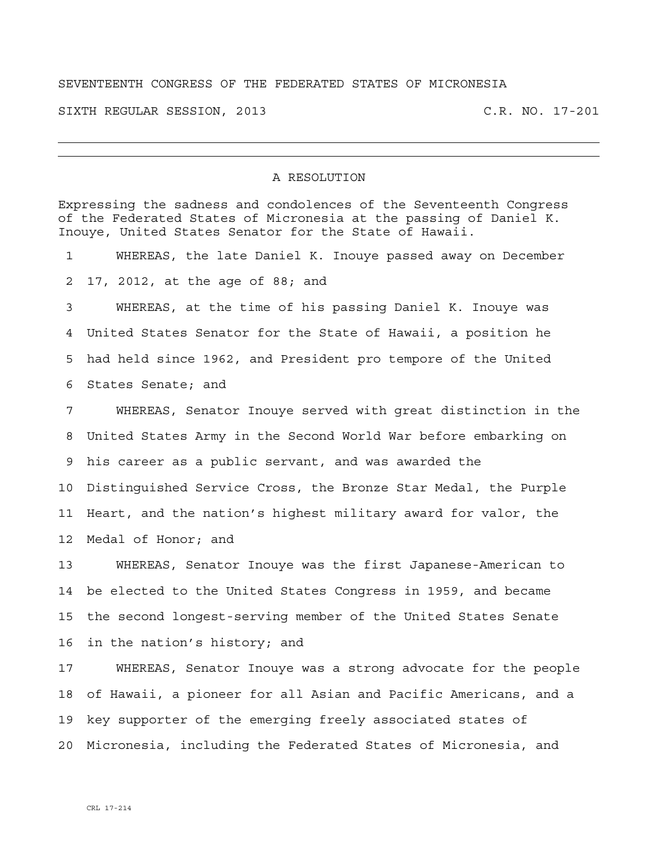## SEVENTEENTH CONGRESS OF THE FEDERATED STATES OF MICRONESIA

SIXTH REGULAR SESSION, 2013 C.R. NO. 17-201

## A RESOLUTION

Expressing the sadness and condolences of the Seventeenth Congress of the Federated States of Micronesia at the passing of Daniel K. Inouye, United States Senator for the State of Hawaii. 1 WHEREAS, the late Daniel K. Inouye passed away on December 2 17, 2012, at the age of 88; and 3 WHEREAS, at the time of his passing Daniel K. Inouye was 4 United States Senator for the State of Hawaii, a position he 5 had held since 1962, and President pro tempore of the United 6 States Senate; and 7 WHEREAS, Senator Inouye served with great distinction in the 8 United States Army in the Second World War before embarking on 9 his career as a public servant, and was awarded the 10 Distinguished Service Cross, the Bronze Star Medal, the Purple 11 Heart, and the nation's highest military award for valor, the 12 Medal of Honor; and 13 WHEREAS, Senator Inouye was the first Japanese-American to 14 be elected to the United States Congress in 1959, and became 15 the second longest-serving member of the United States Senate 16 in the nation's history; and 17 WHEREAS, Senator Inouye was a strong advocate for the people 18 of Hawaii, a pioneer for all Asian and Pacific Americans, and a 19 key supporter of the emerging freely associated states of

20 Micronesia, including the Federated States of Micronesia, and